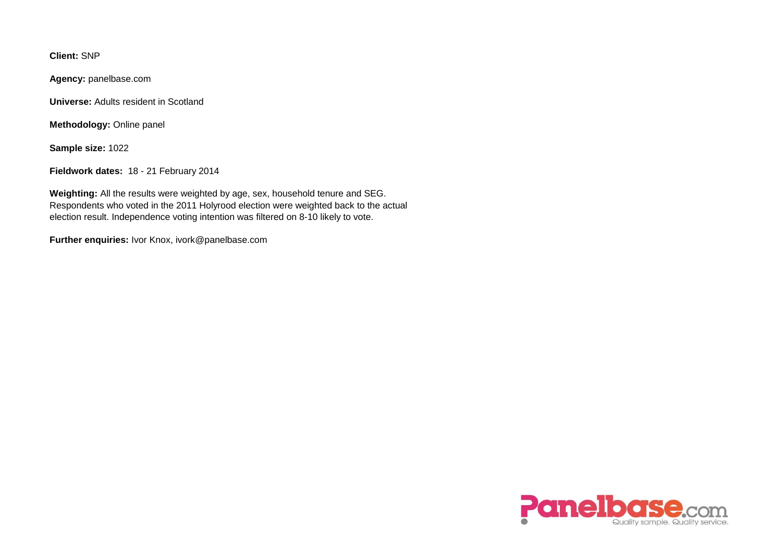**Client:** SNP

**Agency:** panelbase.com

**Universe:** Adults resident in Scotland

**Methodology:** Online panel

**Sample size:** 1022

**Fieldwork dates:** 18 - 21 February 2014

**Weighting:** All the results were weighted by age, sex, household tenure and SEG. Respondents who voted in the 2011 Holyrood election were weighted back to the actual election result. Independence voting intention was filtered on 8-10 likely to vote.

**Further enquiries:** Ivor Knox, ivork@panelbase.com

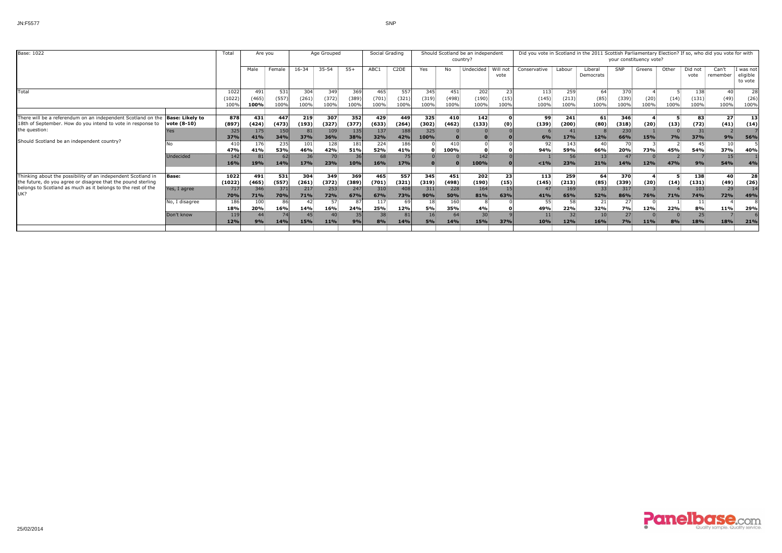| Base: 1022                                                                                                                                                                                          |                       | Total                  | Are you              |                      | Age Grouped             |                      |                      | Social Grading       |                      | Should Scotland be an independent<br>country? |                      |                       |                    | Did you vote in Scotland in the 2011 Scottish Parliamentary Election? If so, who did you vote for with<br>your constituency vote? |                      |                        |                      |              |              |                      |                               |                                |
|-----------------------------------------------------------------------------------------------------------------------------------------------------------------------------------------------------|-----------------------|------------------------|----------------------|----------------------|-------------------------|----------------------|----------------------|----------------------|----------------------|-----------------------------------------------|----------------------|-----------------------|--------------------|-----------------------------------------------------------------------------------------------------------------------------------|----------------------|------------------------|----------------------|--------------|--------------|----------------------|-------------------------------|--------------------------------|
|                                                                                                                                                                                                     |                       |                        | Male                 | Female               | 16-34                   | $35 - 54$            | $55+$                | ABC1                 | C <sub>2</sub> DE    | Yes                                           | No.                  | Undecided             | Will not<br>vote   | Conservative                                                                                                                      | Labour               | Liberal<br>Democrats   | <b>SNP</b>           | Greens       | Other        | Did not<br>vote      | Can't<br>remember             | was not<br>eligible<br>to vote |
| Total                                                                                                                                                                                               |                       | 1022<br>(1022)<br>100% | 491<br>(465)<br>100% | 531<br>(557)<br>100% | 304<br>(261)<br>100%    | 349<br>(372)<br>100% | 369<br>(389)<br>100% | 465<br>(701)<br>100% | 557<br>(321)<br>100% | 345:<br>(319)<br>100%                         | 451<br>(498)<br>100% | 202<br>(190)<br>100%  | 23<br>(15)<br>100% | 113<br>(145)<br>100%                                                                                                              | 259<br>(213)<br>100% | 64<br>(85)<br>100%     | 370<br>(339)<br>100% | (20)<br>100% | (14)<br>100% | 138<br>(131)<br>100% | 40:<br>(49)<br>100%           | 28<br>(26)<br>100%             |
| There will be a referendum on an independent Scotland on the <b>Base: Likely to</b><br>18th of September. How do you intend to vote in response to                                                  | $\vert$ vote (8-10)   | 878<br>(897)           | 431<br>(424)         | 447<br>(473)         | 219<br>(193)            | 307<br>(327)         | 352<br>(377)         | 429<br>(633)         | 449<br>(264)         | 325<br>(302)                                  | 410<br>(462)         | 142<br>(133)          | (0)                | 99<br>(139)                                                                                                                       | 241<br>(200)         | 61<br>(80)             | 346<br>(318)         | (20)         | (13)         | 83<br>(72)           | 27 <sup>2</sup><br>(41)       | 13<br>(14)                     |
| the question:<br>Should Scotland be an independent country?                                                                                                                                         | Yes<br>No.            | 325<br>37%<br>410      | 175<br>41%<br>176    | 150<br>34%<br>235    | 81<br><b>37%</b><br>101 | 109<br>36%<br>128    | 135<br>38%<br>181    | 137<br>32%<br>224    | 188<br>42%<br>186    | 325<br>100%                                   | 410                  |                       |                    | 6%<br>92                                                                                                                          | 17%<br>143           | 12%<br>40              | 230<br>66%<br>70     | <b>15%</b>   | 7%           | 31<br>37%<br>45.     | 9%                            | 56%                            |
|                                                                                                                                                                                                     | Undecided             | 47%<br>142             | 41%<br>81            | 53%<br>62            | 46%<br>36               | 42%<br>70            | 51%                  | <b>52%</b><br>68     | 41%<br>75            |                                               | 100%                 | 142                   |                    | 94%                                                                                                                               | 59%<br>56            | 66%<br>13              | 20%<br>47            | <b>73%</b>   | 45%          | <b>54%</b>           | 37%<br>15 <sup>2</sup>        | 40%                            |
|                                                                                                                                                                                                     |                       | <b>16%</b>             | 19%                  | <b>14%</b>           | <b>17%</b>              | 23%                  | 10%                  | <b>16%</b>           | 17%                  |                                               |                      | 100%                  |                    | $< 1\%$                                                                                                                           | 23%                  | 21%                    | <b>14%</b>           | 12%          | 47%          | 9%                   | 54%                           | 4%                             |
| Thinking about the possibility of an independent Scotland in<br>the future, do you agree or disagree that the pound sterling<br>belongs to Scotland as much as it belongs to the rest of the<br>UK? | Base:<br>Yes, I agree | 1022<br>(1022)<br>717  | 491<br>(465)<br>346  | 531<br>(557)<br>371  | 304<br>(261)<br>217     | 349<br>(372)<br>253  | 369<br>(389)<br>247  | 465<br>(701)<br>310  | 557<br>(321)<br>408  | 345<br>(319)<br>311                           | 451<br>(498)<br>228  | 202<br>(190)<br>164   | 23<br>(15)<br>15   | 113<br>(145)<br>47                                                                                                                | 259<br>(213)<br>169  | 64<br>(85)<br>33       | 370<br>(339)<br>317  | (20)         | (14)         | 138<br>(131)<br>103  | 40<br>(49)<br>29 <sub>1</sub> | 28<br>(26)<br>14               |
|                                                                                                                                                                                                     | No, I disagree        | <b>70%</b><br>186      | 71%<br>100           | <b>70%</b><br>86     | 71%<br>42 <sup>3</sup>  | 72%<br>57            | 67%                  | 67%<br>117.          | 73%<br>69            | 90%                                           | 50%<br>160           | 81%                   | 63%                | 41%<br>55                                                                                                                         | 65%<br>58            | 52%<br>21              | 86%<br>27            | <b>76%</b>   | 71%          | <b>74%</b>           | 72%                           | 49%                            |
|                                                                                                                                                                                                     | Don't know            | 18%<br>119             | 20%<br>44            | 16%                  | 14%<br>45 <sub>i</sub>  | 16%                  | 24%                  | 25%<br>38            | 12%<br>81            | <b>5%</b>                                     | 35%<br>64            | 4%<br>30 <sup>3</sup> |                    | 49%<br>11                                                                                                                         | 22%<br>32            | 32%<br>10 <sup>5</sup> | <b>7%</b><br>27      | 12%          | 22%          | 8%<br>25             | 11%                           | 29%                            |
|                                                                                                                                                                                                     |                       | 12%                    | 9%                   | <b>14%</b>           | <b>15%</b>              | <b>11%</b>           |                      | 8%                   | 14%                  | 5%                                            | <b>14%</b>           | 15%                   | 37%                | 10%                                                                                                                               | 12%                  | <b>16%</b>             | 7%                   | <b>11%</b>   | 8%           | 18%                  | 18%                           | 21%                            |